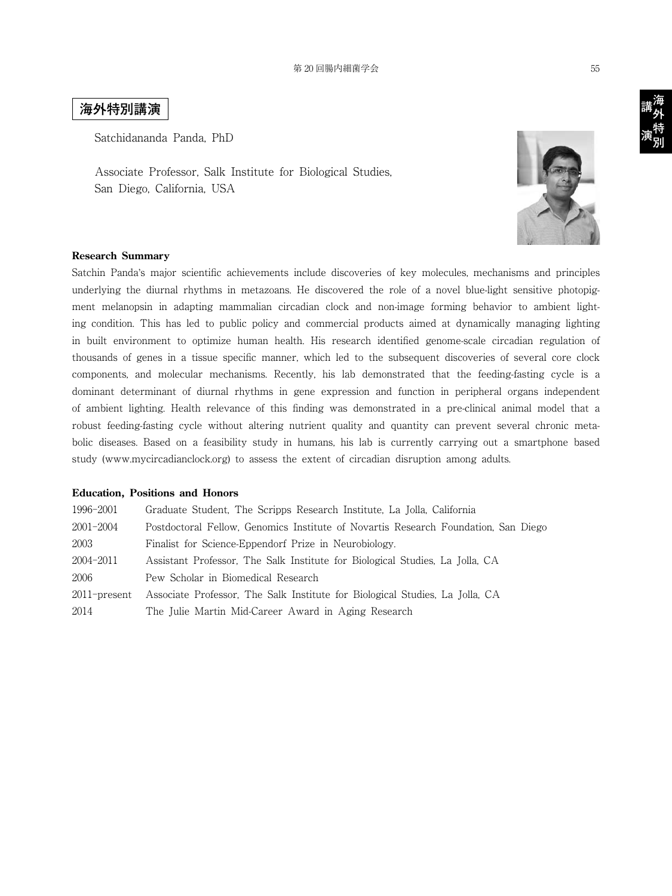## **海外特別講演**

Satchidananda Panda, PhD

Associate Professor, Salk Institute for Biological Studies, San Diego, California, USA



## **Research Summary**

Satchin Panda's major scientific achievements include discoveries of key molecules, mechanisms and principles underlying the diurnal rhythms in metazoans. He discovered the role of a novel blue-light sensitive photopigment melanopsin in adapting mammalian circadian clock and non-image forming behavior to ambient lighting condition. This has led to public policy and commercial products aimed at dynamically managing lighting in built environment to optimize human health. His research identified genome-scale circadian regulation of thousands of genes in a tissue specific manner, which led to the subsequent discoveries of several core clock components, and molecular mechanisms. Recently, his lab demonstrated that the feeding-fasting cycle is a dominant determinant of diurnal rhythms in gene expression and function in peripheral organs independent of ambient lighting. Health relevance of this finding was demonstrated in a pre-clinical animal model that a robust feeding-fasting cycle without altering nutrient quality and quantity can prevent several chronic metabolic diseases. Based on a feasibility study in humans, his lab is currently carrying out a smartphone based study (www.mycircadianclock.org) to assess the extent of circadian disruption among adults.

## **Education, Positions and Honors**

| 1996-2001       | Graduate Student, The Scripps Research Institute, La Jolla, California             |
|-----------------|------------------------------------------------------------------------------------|
| 2001-2004       | Postdoctoral Fellow, Genomics Institute of Novartis Research Foundation, San Diego |
| 2003            | Finalist for Science-Eppendorf Prize in Neurobiology.                              |
| 2004-2011       | Assistant Professor, The Salk Institute for Biological Studies, La Jolla, CA       |
| 2006            | Pew Scholar in Biomedical Research                                                 |
| $2011$ -present | Associate Professor, The Salk Institute for Biological Studies, La Jolla, CA       |
| 2014            | The Julie Martin Mid-Career Award in Aging Research                                |